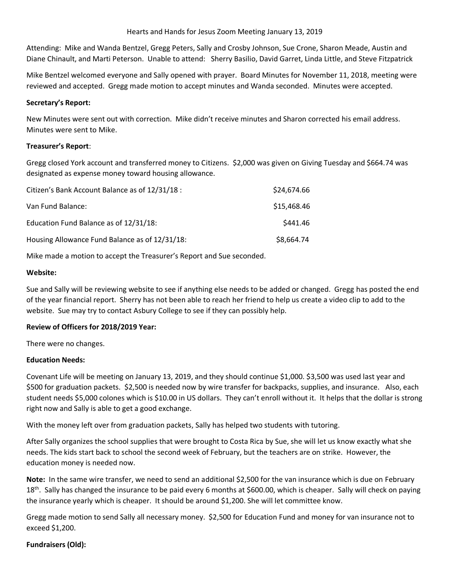Attending: Mike and Wanda Bentzel, Gregg Peters, Sally and Crosby Johnson, Sue Crone, Sharon Meade, Austin and Diane Chinault, and Marti Peterson. Unable to attend: Sherry Basilio, David Garret, Linda Little, and Steve Fitzpatrick

Mike Bentzel welcomed everyone and Sally opened with prayer. Board Minutes for November 11, 2018, meeting were reviewed and accepted. Gregg made motion to accept minutes and Wanda seconded. Minutes were accepted.

### **Secretary's Report:**

New Minutes were sent out with correction. Mike didn't receive minutes and Sharon corrected his email address. Minutes were sent to Mike.

## **Treasurer's Report**:

Gregg closed York account and transferred money to Citizens. \$2,000 was given on Giving Tuesday and \$664.74 was designated as expense money toward housing allowance.

| Citizen's Bank Account Balance as of 12/31/18 :<br>Van Fund Balance:<br>Education Fund Balance as of 12/31/18: | \$24,674.66<br>\$15,468.46<br>\$441.46 |                                                |            |
|----------------------------------------------------------------------------------------------------------------|----------------------------------------|------------------------------------------------|------------|
|                                                                                                                |                                        | Housing Allowance Fund Balance as of 12/31/18: | \$8,664.74 |

Mike made a motion to accept the Treasurer's Report and Sue seconded.

## **Website:**

Sue and Sally will be reviewing website to see if anything else needs to be added or changed. Gregg has posted the end of the year financial report. Sherry has not been able to reach her friend to help us create a video clip to add to the website. Sue may try to contact Asbury College to see if they can possibly help.

# **Review of Officers for 2018/2019 Year:**

There were no changes.

#### **Education Needs:**

Covenant Life will be meeting on January 13, 2019, and they should continue \$1,000. \$3,500 was used last year and \$500 for graduation packets. \$2,500 is needed now by wire transfer for backpacks, supplies, and insurance. Also, each student needs \$5,000 colones which is \$10.00 in US dollars. They can't enroll without it. It helps that the dollar is strong right now and Sally is able to get a good exchange.

With the money left over from graduation packets, Sally has helped two students with tutoring.

After Sally organizes the school supplies that were brought to Costa Rica by Sue, she will let us know exactly what she needs. The kids start back to school the second week of February, but the teachers are on strike. However, the education money is needed now.

**Note:** In the same wire transfer, we need to send an additional \$2,500 for the van insurance which is due on February  $18<sup>th</sup>$ . Sally has changed the insurance to be paid every 6 months at \$600.00, which is cheaper. Sally will check on paying the insurance yearly which is cheaper. It should be around \$1,200. She will let committee know.

Gregg made motion to send Sally all necessary money. \$2,500 for Education Fund and money for van insurance not to exceed \$1,200.

# **Fundraisers (Old):**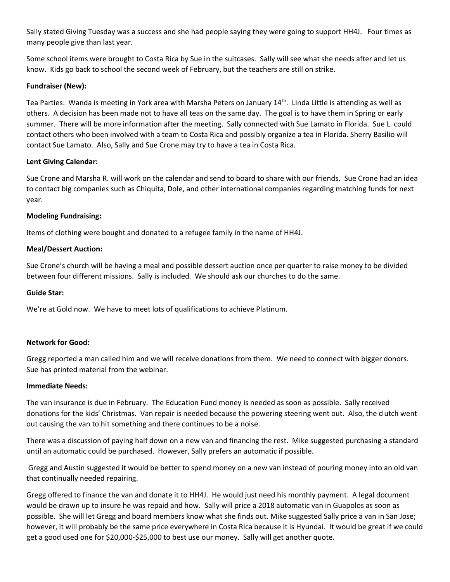Sally stated Giving Tuesday was a success and she had people saying they were going to support HH4J. Four times as many people give than last year.

Some school items were brought to Costa Rica by Sue in the suitcases. Sally will see what she needs after and let us know. Kids go back to school the second week of February, but the teachers are still on strike.

## **Fundraiser (New):**

Tea Parties: Wanda is meeting in York area with Marsha Peters on January 14<sup>th</sup>. Linda Little is attending as well as others. A decision has been made not to have all teas on the same day. The goal is to have them in Spring or early summer. There will be more information after the meeting. Sally connected with Sue Lamato in Florida. Sue L. could contact others who been involved with a team to Costa Rica and possibly organize a tea in Florida. Sherry Basilio will contact Sue Lamato. Also, Sally and Sue Crone may try to have a tea in Costa Rica.

## **Lent Giving Calendar:**

Sue Crone and Marsha R. will work on the calendar and send to board to share with our friends. Sue Crone had an idea to contact big companies such as Chiquita, Dole, and other international companies regarding matching funds for next year.

#### **Modeling Fundraising:**

Items of clothing were bought and donated to a refugee family in the name of HH4J.

#### **Meal/Dessert Auction:**

Sue Crone's church will be having a meal and possible dessert auction once per quarter to raise money to be divided between four different missions. Sally is included. We should ask our churches to do the same.

#### **Guide Star:**

We're at Gold now. We have to meet lots of qualifications to achieve Platinum.

#### **Network for Good:**

Gregg reported a man called him and we will receive donations from them. We need to connect with bigger donors. Sue has printed material from the webinar.

#### **Immediate Needs:**

The van insurance is due in February. The Education Fund money is needed as soon as possible. Sally received donations for the kids' Christmas. Van repair is needed because the powering steering went out. Also, the clutch went out causing the van to hit something and there continues to be a noise.

There was a discussion of paying half down on a new van and financing the rest. Mike suggested purchasing a standard until an automatic could be purchased. However, Sally prefers an automatic if possible.

Gregg and Austin suggested it would be better to spend money on a new van instead of pouring money into an old van that continually needed repairing.

Gregg offered to finance the van and donate it to HH4J. He would just need his monthly payment. A legal document would be drawn up to insure he was repaid and how. Sally will price a 2018 automatic van in Guapolos as soon as possible. She will let Gregg and board members know what she finds out. Mike suggested Sally price a van in San Jose; however, it will probably be the same price everywhere in Costa Rica because it is Hyundai. It would be great if we could get a good used one for \$20,000-\$25,000 to best use our money. Sally will get another quote.